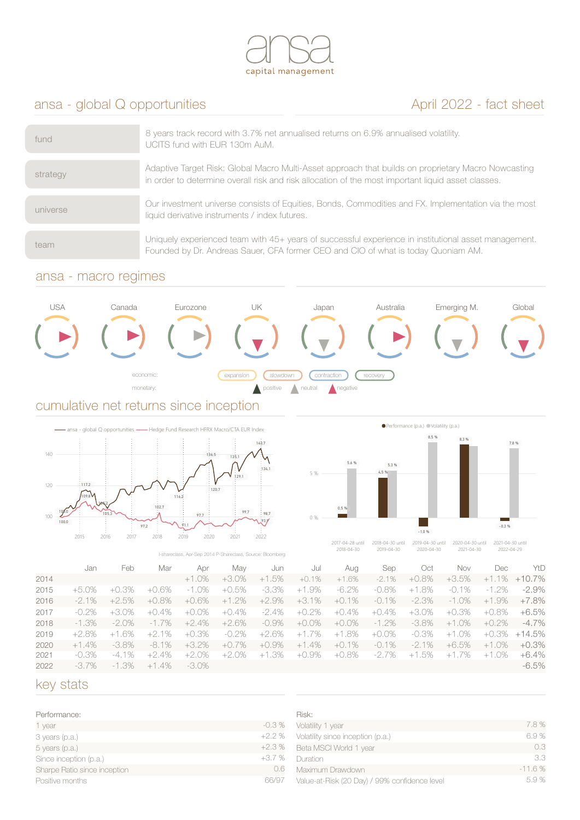

# ansa - global Q opportunities April 2022 - fact sheet

| fund     | 8 years track record with 3.7% net annualised returns on 6.9% annualised volatility.<br>UCITS fund with EUR 130m AuM.                                                                                     |
|----------|-----------------------------------------------------------------------------------------------------------------------------------------------------------------------------------------------------------|
| strategy | Adaptive Target Risk: Global Macro Multi-Asset approach that builds on proprietary Macro Nowcasting<br>in order to determine overall risk and risk allocation of the most important liquid asset classes. |
| universe | Our investment universe consists of Equities, Bonds, Commodities and FX. Implementation via the most<br>liquid derivative instruments / index futures.                                                    |
| team     | Uniquely experienced team with 45+ years of successful experience in institutional asset management.<br>Founded by Dr. Andreas Sauer, CFA former CEO and CIO of what is today Quoniam AM.                 |

### ansa - macro regimes



### cumulative net returns since inception





2017-04-28 until 2018-04-30 2018-04-30 until 2019-04-30

2019-04-30 until 2020-04-30 2020-04-30 until 2021-04-30 2021-04-30 until 2022-04-29

|      | I-shareclass, Apr-Sep 2014 P-Shareclass, Source: Bloomberg |          |          |          |          | CUID-U4-JU | 4912-04-30 | CUCUTU <del>T</del> JU | CUC TUTTUU | CUCCTUTTCJ |            |             |           |
|------|------------------------------------------------------------|----------|----------|----------|----------|------------|------------|------------------------|------------|------------|------------|-------------|-----------|
|      | Jan                                                        | Feb      | Mar      | Apr      | Mav      | Jun        | Jul        | Aug                    | Sep        | Oct        | <b>Nov</b> | Dec         | YtD       |
| 2014 |                                                            |          |          | $+1.0%$  | +3.0%    | $+1.5%$    | $+0.1%$    | $+1.6%$                | $-2.1%$    | +0.8%      | $+3.5%$    | $+1.1\%$    | $+10.7\%$ |
| 2015 | $+5.0%$                                                    | .3%      | $+0.6%$  | $-1.0%$  | $+0.5%$  | -3.3%      | $+1.9%$    | $-6.2%$                | $-0.8\%$   | $+1.8%$    | $-0.1\%$   | $-1.2\%$    | $-2.9\%$  |
| 2016 | $-2.1\%$                                                   | +2.5%    | $+0.8\%$ | $+0.6%$  | $+1.2%$  | $+2.9%$    | $+3.1%$    | $+0.1%$                | $-0.1\%$   | $-2.3\%$   | $-1.0\%$   | $+1.9%$     | +7.8%     |
| 2017 | $-0.2\%$                                                   | $+3.0\%$ | $+0.4\%$ | $+0.0\%$ | $+0.4\%$ | $-2.4\%$   | $+0.2\%$   | .4%<br>$+$ O           | $+0.4%$    | $+3.0\%$   | +0.3%      | +0.8%       | +6.5%     |
| 2018 | $-1.3\%$                                                   | $-2.0\%$ | $-1.7\%$ | $+2.4%$  | $+2.6%$  | $-0.9\%$   | $+0.0\%$   | $+0.0\%$               | $-1.2\%$   | $-3.8\%$   | $+1.0%$    | $+0.2\%$    | -4.7%     |
| 2019 | $+2.8\%$                                                   | $+1.6%$  | $+2.1%$  | +0.3%    | $-0.2\%$ | $+2.6%$    | $+1.7%$    | .8%<br>$+1$            | $+0.0\%$   | $-0.3\%$   | $+1.0%$    | +0.3%       | +14.5%    |
| 2020 | $+1.4%$                                                    | $-3.8\%$ | $-8.1\%$ | $+3.2%$  | $+0.7%$  | $+0.9%$    | $+1.4%$    | $+0.1%$                | $-0.1\%$   | $-2.1\%$   | $+6.5%$    | .0%<br>$+1$ | $+0.3\%$  |
| 2021 | $-0.3\%$                                                   | $-4.1\%$ | +2.4%    | $+2.0\%$ | $+2.0%$  | $+1.3%$    | +0.9%      | +0.8%                  | -2.7%      | $+1.5%$    | $+1.7\%$   | $+1.0\%$    | +6.4%     |
| 2022 | -3.7%                                                      | $-1.3%$  | $+1.4%$  | $-3.0\%$ |          |            |            |                        |            |            |            |             | $-6.5\%$  |

## key stats

| Performance:                 |         |
|------------------------------|---------|
| 1 year                       | $-0.3%$ |
| 3 years (p.a.)               | $+2.2%$ |
| 5 years (p.a.)               | $+2.3%$ |
| Since inception (p.a.)       | $+3.7%$ |
| Sharpe Ratio since inception | 0.6     |
| Positive months              | 66/97   |

| Risk:                                         |          |
|-----------------------------------------------|----------|
| Volatility 1 year                             | 7.8%     |
| Volatility since inception (p.a.)             | 6.9%     |
| Beta MSCI World 1 year                        | 0.3      |
| Duration                                      | 33       |
| Maximum Drawdown                              | $-11.6%$ |
| Value-at-Risk (20 Day) / 99% confidence level | 5.9%     |